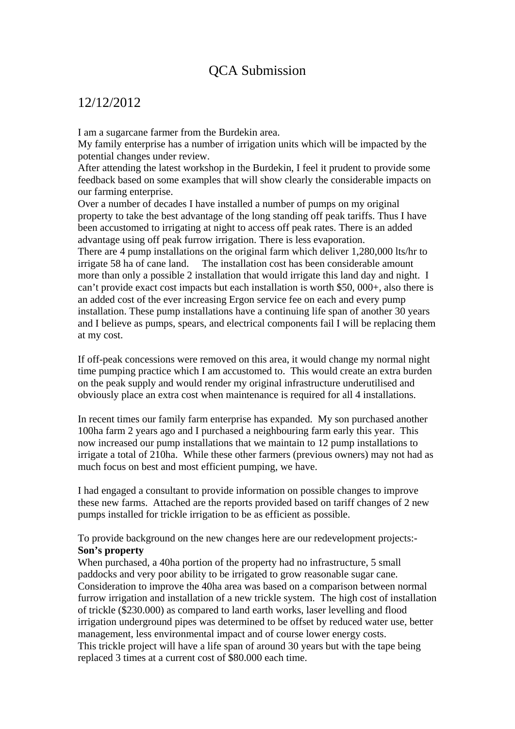## QCA Submission

## 12/12/2012

I am a sugarcane farmer from the Burdekin area.

My family enterprise has a number of irrigation units which will be impacted by the potential changes under review.

After attending the latest workshop in the Burdekin, I feel it prudent to provide some feedback based on some examples that will show clearly the considerable impacts on our farming enterprise.

Over a number of decades I have installed a number of pumps on my original property to take the best advantage of the long standing off peak tariffs. Thus I have been accustomed to irrigating at night to access off peak rates. There is an added advantage using off peak furrow irrigation. There is less evaporation. There are 4 pump installations on the original farm which deliver 1,280,000 lts/hr to irrigate 58 ha of cane land. The installation cost has been considerable amount more than only a possible 2 installation that would irrigate this land day and night. I can't provide exact cost impacts but each installation is worth \$50, 000+, also there is an added cost of the ever increasing Ergon service fee on each and every pump installation. These pump installations have a continuing life span of another 30 years and I believe as pumps, spears, and electrical components fail I will be replacing them

at my cost.

If off-peak concessions were removed on this area, it would change my normal night time pumping practice which I am accustomed to. This would create an extra burden on the peak supply and would render my original infrastructure underutilised and obviously place an extra cost when maintenance is required for all 4 installations.

In recent times our family farm enterprise has expanded. My son purchased another 100ha farm 2 years ago and I purchased a neighbouring farm early this year. This now increased our pump installations that we maintain to 12 pump installations to irrigate a total of 210ha. While these other farmers (previous owners) may not had as much focus on best and most efficient pumping, we have.

I had engaged a consultant to provide information on possible changes to improve these new farms. Attached are the reports provided based on tariff changes of 2 new pumps installed for trickle irrigation to be as efficient as possible.

To provide background on the new changes here are our redevelopment projects:- **Son's property** 

When purchased, a 40ha portion of the property had no infrastructure, 5 small paddocks and very poor ability to be irrigated to grow reasonable sugar cane. Consideration to improve the 40ha area was based on a comparison between normal furrow irrigation and installation of a new trickle system. The high cost of installation of trickle (\$230.000) as compared to land earth works, laser levelling and flood irrigation underground pipes was determined to be offset by reduced water use, better management, less environmental impact and of course lower energy costs. This trickle project will have a life span of around 30 years but with the tape being replaced 3 times at a current cost of \$80.000 each time.